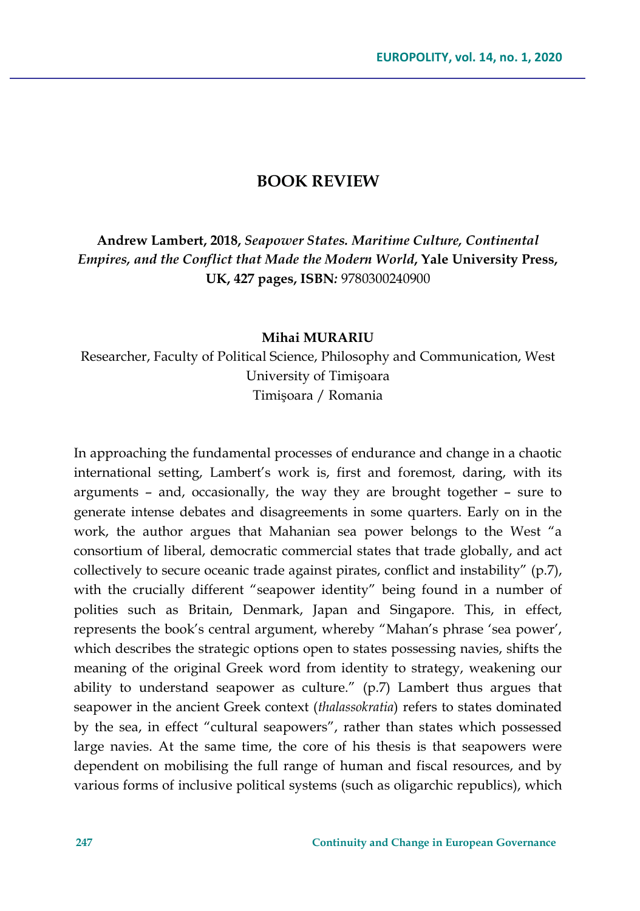## **BOOK REVIEW**

**Andrew Lambert, 2018,** *Seapower States. Maritime Culture, Continental Empires, and the Conflict that Made the Modern World***, Yale University Press, UK, 427 pages, ISBN***:* 9780300240900

## **Mihai MURARIU**

Researcher, Faculty of Political Science, Philosophy and Communication, West University of Timișoara Timişoara / Romania

In approaching the fundamental processes of endurance and change in a chaotic international setting, Lambert's work is, first and foremost, daring, with its arguments – and, occasionally, the way they are brought together – sure to generate intense debates and disagreements in some quarters. Early on in the work, the author argues that Mahanian sea power belongs to the West "a consortium of liberal, democratic commercial states that trade globally, and act collectively to secure oceanic trade against pirates, conflict and instability" (p.7), with the crucially different "seapower identity" being found in a number of polities such as Britain, Denmark, Japan and Singapore. This, in effect, represents the book's central argument, whereby "Mahan's phrase 'sea power', which describes the strategic options open to states possessing navies, shifts the meaning of the original Greek word from identity to strategy, weakening our ability to understand seapower as culture." (p.7) Lambert thus argues that seapower in the ancient Greek context (*thalassokratia*) refers to states dominated by the sea, in effect "cultural seapowers", rather than states which possessed large navies. At the same time, the core of his thesis is that seapowers were dependent on mobilising the full range of human and fiscal resources, and by various forms of inclusive political systems (such as oligarchic republics), which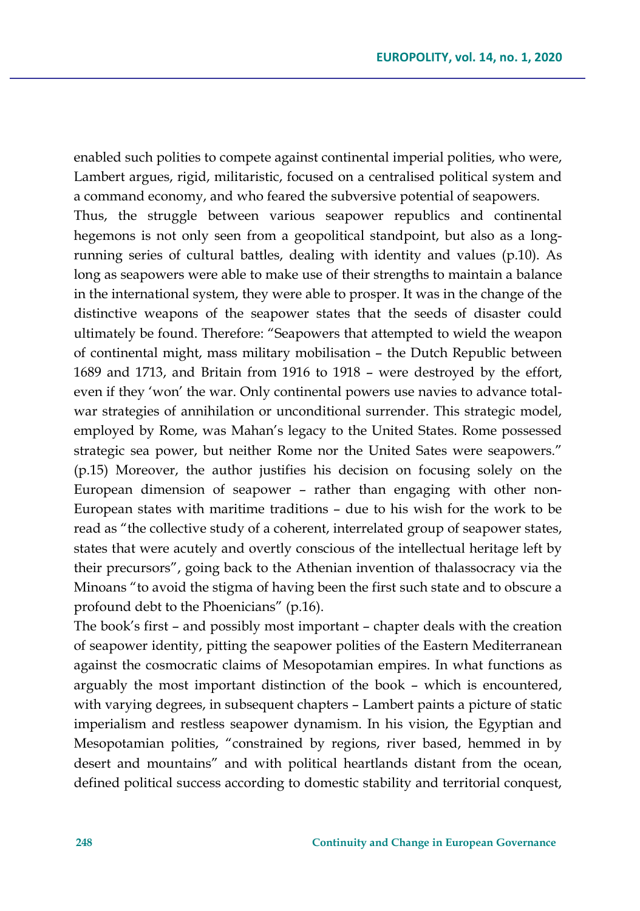enabled such polities to compete against continental imperial polities, who were, Lambert argues, rigid, militaristic, focused on a centralised political system and a command economy, and who feared the subversive potential of seapowers.

Thus, the struggle between various seapower republics and continental hegemons is not only seen from a geopolitical standpoint, but also as a longrunning series of cultural battles, dealing with identity and values (p.10). As long as seapowers were able to make use of their strengths to maintain a balance in the international system, they were able to prosper. It was in the change of the distinctive weapons of the seapower states that the seeds of disaster could ultimately be found. Therefore: "Seapowers that attempted to wield the weapon of continental might, mass military mobilisation – the Dutch Republic between 1689 and 1713, and Britain from 1916 to 1918 – were destroyed by the effort, even if they 'won' the war. Only continental powers use navies to advance totalwar strategies of annihilation or unconditional surrender. This strategic model, employed by Rome, was Mahan's legacy to the United States. Rome possessed strategic sea power, but neither Rome nor the United Sates were seapowers." (p.15) Moreover, the author justifies his decision on focusing solely on the European dimension of seapower – rather than engaging with other non-European states with maritime traditions – due to his wish for the work to be read as "the collective study of a coherent, interrelated group of seapower states, states that were acutely and overtly conscious of the intellectual heritage left by their precursors", going back to the Athenian invention of thalassocracy via the Minoans "to avoid the stigma of having been the first such state and to obscure a profound debt to the Phoenicians" (p.16).

The book's first – and possibly most important – chapter deals with the creation of seapower identity, pitting the seapower polities of the Eastern Mediterranean against the cosmocratic claims of Mesopotamian empires. In what functions as arguably the most important distinction of the book – which is encountered, with varying degrees, in subsequent chapters – Lambert paints a picture of static imperialism and restless seapower dynamism. In his vision, the Egyptian and Mesopotamian polities, "constrained by regions, river based, hemmed in by desert and mountains" and with political heartlands distant from the ocean, defined political success according to domestic stability and territorial conquest,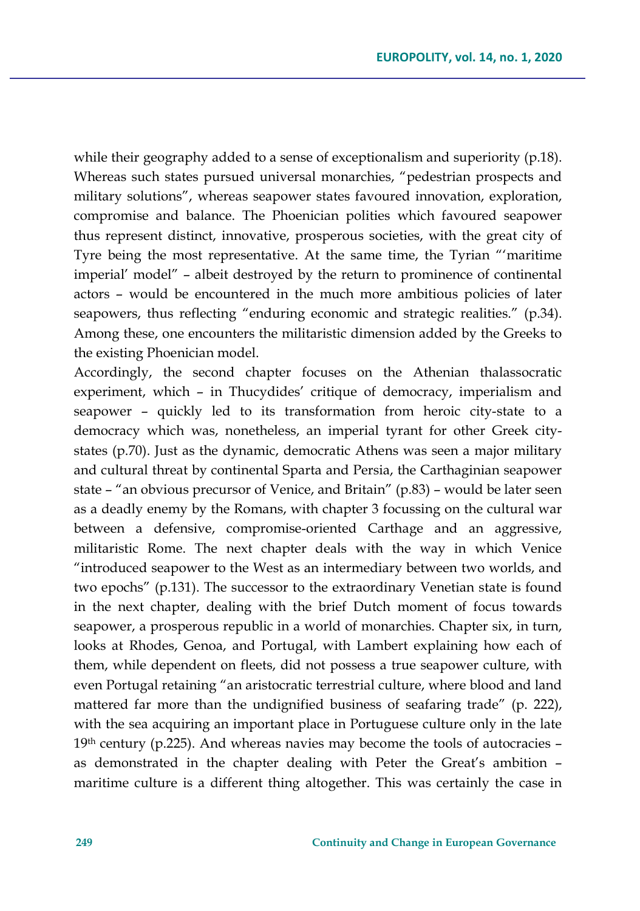while their geography added to a sense of exceptionalism and superiority (p.18). Whereas such states pursued universal monarchies, "pedestrian prospects and military solutions", whereas seapower states favoured innovation, exploration, compromise and balance. The Phoenician polities which favoured seapower thus represent distinct, innovative, prosperous societies, with the great city of Tyre being the most representative. At the same time, the Tyrian "'maritime imperial' model" – albeit destroyed by the return to prominence of continental actors – would be encountered in the much more ambitious policies of later seapowers, thus reflecting "enduring economic and strategic realities." (p.34). Among these, one encounters the militaristic dimension added by the Greeks to the existing Phoenician model.

Accordingly, the second chapter focuses on the Athenian thalassocratic experiment, which – in Thucydides' critique of democracy, imperialism and seapower – quickly led to its transformation from heroic city-state to a democracy which was, nonetheless, an imperial tyrant for other Greek citystates (p.70). Just as the dynamic, democratic Athens was seen a major military and cultural threat by continental Sparta and Persia, the Carthaginian seapower state – "an obvious precursor of Venice, and Britain" (p.83) – would be later seen as a deadly enemy by the Romans, with chapter 3 focussing on the cultural war between a defensive, compromise-oriented Carthage and an aggressive, militaristic Rome. The next chapter deals with the way in which Venice "introduced seapower to the West as an intermediary between two worlds, and two epochs" (p.131). The successor to the extraordinary Venetian state is found in the next chapter, dealing with the brief Dutch moment of focus towards seapower, a prosperous republic in a world of monarchies. Chapter six, in turn, looks at Rhodes, Genoa, and Portugal, with Lambert explaining how each of them, while dependent on fleets, did not possess a true seapower culture, with even Portugal retaining "an aristocratic terrestrial culture, where blood and land mattered far more than the undignified business of seafaring trade" (p. 222), with the sea acquiring an important place in Portuguese culture only in the late 19th century (p.225). And whereas navies may become the tools of autocracies as demonstrated in the chapter dealing with Peter the Great's ambition – maritime culture is a different thing altogether. This was certainly the case in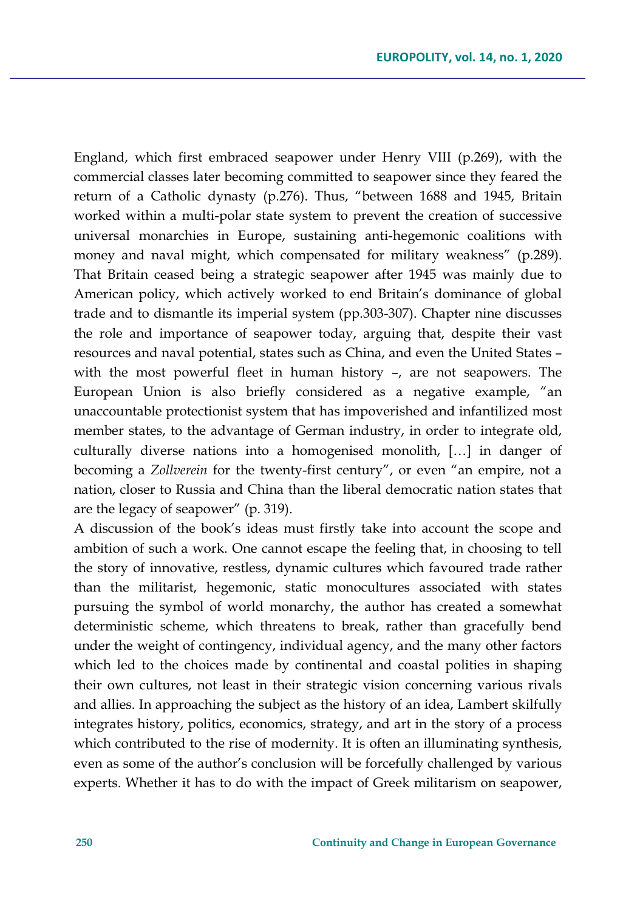England, which first embraced seapower under Henry VIII (p.269), with the commercial classes later becoming committed to seapower since they feared the return of a Catholic dynasty (p.276). Thus, "between 1688 and 1945, Britain worked within a multi-polar state system to prevent the creation of successive universal monarchies in Europe, sustaining anti-hegemonic coalitions with money and naval might, which compensated for military weakness" (p.289). That Britain ceased being a strategic seapower after 1945 was mainly due to American policy, which actively worked to end Britain's dominance of global trade and to dismantle its imperial system (pp.303-307). Chapter nine discusses the role and importance of seapower today, arguing that, despite their vast resources and naval potential, states such as China, and even the United States – with the most powerful fleet in human history –, are not seapowers. The European Union is also briefly considered as a negative example, "an unaccountable protectionist system that has impoverished and infantilized most member states, to the advantage of German industry, in order to integrate old, culturally diverse nations into a homogenised monolith, […] in danger of becoming a *Zollverein* for the twenty-first century", or even "an empire, not a nation, closer to Russia and China than the liberal democratic nation states that are the legacy of seapower" (p. 319).

A discussion of the book's ideas must firstly take into account the scope and ambition of such a work. One cannot escape the feeling that, in choosing to tell the story of innovative, restless, dynamic cultures which favoured trade rather than the militarist, hegemonic, static monocultures associated with states pursuing the symbol of world monarchy, the author has created a somewhat deterministic scheme, which threatens to break, rather than gracefully bend under the weight of contingency, individual agency, and the many other factors which led to the choices made by continental and coastal polities in shaping their own cultures, not least in their strategic vision concerning various rivals and allies. In approaching the subject as the history of an idea, Lambert skilfully integrates history, politics, economics, strategy, and art in the story of a process which contributed to the rise of modernity. It is often an illuminating synthesis, even as some of the author's conclusion will be forcefully challenged by various experts. Whether it has to do with the impact of Greek militarism on seapower,